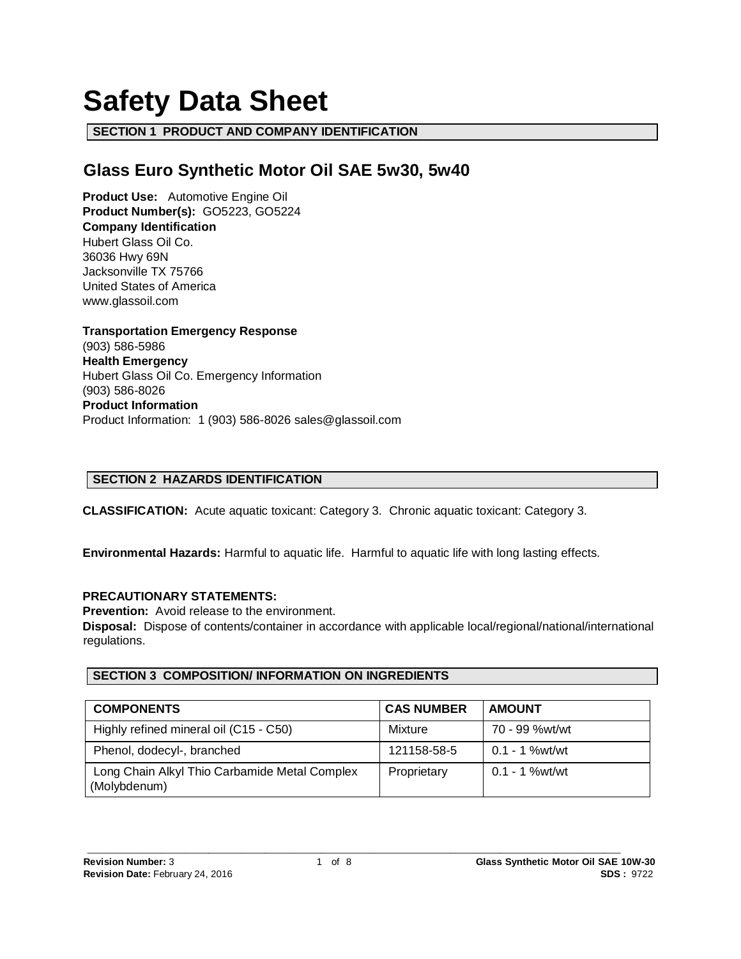# **Safety Data Sheet**

**SECTION 1 PRODUCT AND COMPANY IDENTIFICATION**

# **Glass Euro Synthetic Motor Oil SAE 5w30, 5w40**

**Product Use:** Automotive Engine Oil **Product Number(s):** GO5223, GO5224 **Company Identification** Hubert Glass Oil Co. 36036 Hwy 69N Jacksonville TX 75766 United States of America www.glassoil.com

**Transportation Emergency Response** (903) 586-5986 **Health Emergency** Hubert Glass Oil Co. Emergency Information (903) 586-8026 **Product Information**  Product Information: 1 (903) 586-8026 sales@glassoil.com

# **SECTION 2 HAZARDS IDENTIFICATION**

**CLASSIFICATION:** Acute aquatic toxicant: Category 3. Chronic aquatic toxicant: Category 3.

**Environmental Hazards:** Harmful to aquatic life. Harmful to aquatic life with long lasting effects.

# **PRECAUTIONARY STATEMENTS:**

**Prevention:** Avoid release to the environment.

**Disposal:** Dispose of contents/container in accordance with applicable local/regional/national/international regulations.

# **SECTION 3 COMPOSITION/ INFORMATION ON INGREDIENTS**

| <b>COMPONENTS</b>                                             | <b>CAS NUMBER</b> | <b>AMOUNT</b>    |
|---------------------------------------------------------------|-------------------|------------------|
| Highly refined mineral oil (C15 - C50)                        | Mixture           | 70 - 99 %wt/wt   |
| Phenol, dodecyl-, branched                                    | 121158-58-5       | 0.1 - 1 %wt/wt   |
| Long Chain Alkyl Thio Carbamide Metal Complex<br>(Molybdenum) | Proprietary       | $0.1 - 1$ %wt/wt |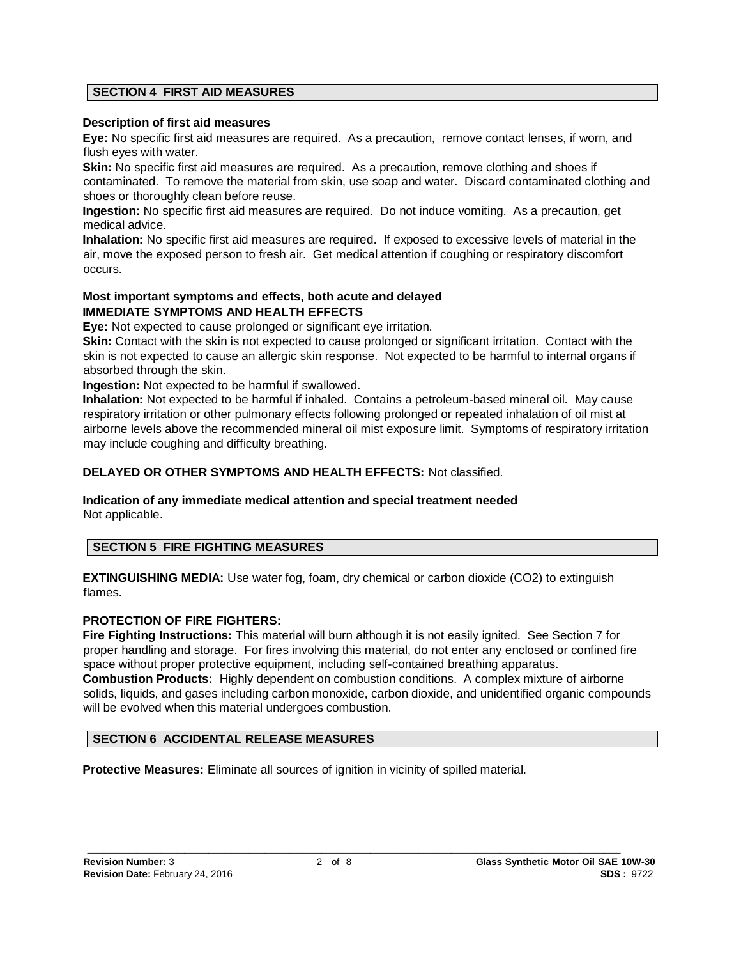# **SECTION 4 FIRST AID MEASURES**

#### **Description of first aid measures**

**Eye:** No specific first aid measures are required. As a precaution, remove contact lenses, if worn, and flush eyes with water.

**Skin:** No specific first aid measures are required. As a precaution, remove clothing and shoes if contaminated. To remove the material from skin, use soap and water. Discard contaminated clothing and shoes or thoroughly clean before reuse.

**Ingestion:** No specific first aid measures are required. Do not induce vomiting. As a precaution, get medical advice.

**Inhalation:** No specific first aid measures are required. If exposed to excessive levels of material in the air, move the exposed person to fresh air. Get medical attention if coughing or respiratory discomfort occurs.

# **Most important symptoms and effects, both acute and delayed IMMEDIATE SYMPTOMS AND HEALTH EFFECTS**

**Eye:** Not expected to cause prolonged or significant eye irritation.

**Skin:** Contact with the skin is not expected to cause prolonged or significant irritation. Contact with the skin is not expected to cause an allergic skin response. Not expected to be harmful to internal organs if absorbed through the skin.

**Ingestion:** Not expected to be harmful if swallowed.

**Inhalation:** Not expected to be harmful if inhaled. Contains a petroleum-based mineral oil. May cause respiratory irritation or other pulmonary effects following prolonged or repeated inhalation of oil mist at airborne levels above the recommended mineral oil mist exposure limit. Symptoms of respiratory irritation may include coughing and difficulty breathing.

# **DELAYED OR OTHER SYMPTOMS AND HEALTH EFFECTS:** Not classified.

#### **Indication of any immediate medical attention and special treatment needed**  Not applicable.

# **SECTION 5 FIRE FIGHTING MEASURES**

**EXTINGUISHING MEDIA:** Use water fog, foam, dry chemical or carbon dioxide (CO2) to extinguish flames.

# **PROTECTION OF FIRE FIGHTERS:**

**Fire Fighting Instructions:** This material will burn although it is not easily ignited. See Section 7 for proper handling and storage. For fires involving this material, do not enter any enclosed or confined fire space without proper protective equipment, including self-contained breathing apparatus. **Combustion Products:** Highly dependent on combustion conditions. A complex mixture of airborne solids, liquids, and gases including carbon monoxide, carbon dioxide, and unidentified organic compounds will be evolved when this material undergoes combustion.

# **SECTION 6 ACCIDENTAL RELEASE MEASURES**

**Protective Measures:** Eliminate all sources of ignition in vicinity of spilled material.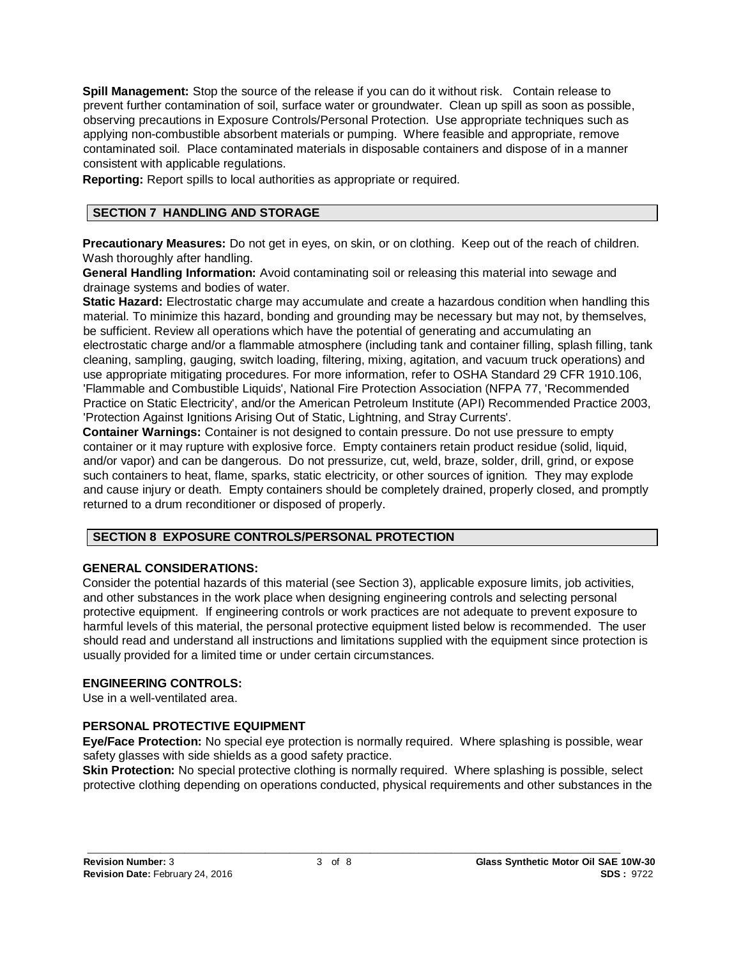**Spill Management:** Stop the source of the release if you can do it without risk. Contain release to prevent further contamination of soil, surface water or groundwater. Clean up spill as soon as possible, observing precautions in Exposure Controls/Personal Protection. Use appropriate techniques such as applying non-combustible absorbent materials or pumping. Where feasible and appropriate, remove contaminated soil. Place contaminated materials in disposable containers and dispose of in a manner consistent with applicable regulations.

**Reporting:** Report spills to local authorities as appropriate or required.

# **SECTION 7 HANDLING AND STORAGE**

**Precautionary Measures:** Do not get in eyes, on skin, or on clothing. Keep out of the reach of children. Wash thoroughly after handling.

**General Handling Information:** Avoid contaminating soil or releasing this material into sewage and drainage systems and bodies of water.

**Static Hazard:** Electrostatic charge may accumulate and create a hazardous condition when handling this material. To minimize this hazard, bonding and grounding may be necessary but may not, by themselves, be sufficient. Review all operations which have the potential of generating and accumulating an electrostatic charge and/or a flammable atmosphere (including tank and container filling, splash filling, tank cleaning, sampling, gauging, switch loading, filtering, mixing, agitation, and vacuum truck operations) and use appropriate mitigating procedures. For more information, refer to OSHA Standard 29 CFR 1910.106, 'Flammable and Combustible Liquids', National Fire Protection Association (NFPA 77, 'Recommended Practice on Static Electricity', and/or the American Petroleum Institute (API) Recommended Practice 2003, 'Protection Against Ignitions Arising Out of Static, Lightning, and Stray Currents'.

**Container Warnings:** Container is not designed to contain pressure. Do not use pressure to empty container or it may rupture with explosive force. Empty containers retain product residue (solid, liquid, and/or vapor) and can be dangerous. Do not pressurize, cut, weld, braze, solder, drill, grind, or expose such containers to heat, flame, sparks, static electricity, or other sources of ignition. They may explode and cause injury or death. Empty containers should be completely drained, properly closed, and promptly returned to a drum reconditioner or disposed of properly.

# **SECTION 8 EXPOSURE CONTROLS/PERSONAL PROTECTION**

# **GENERAL CONSIDERATIONS:**

Consider the potential hazards of this material (see Section 3), applicable exposure limits, job activities, and other substances in the work place when designing engineering controls and selecting personal protective equipment. If engineering controls or work practices are not adequate to prevent exposure to harmful levels of this material, the personal protective equipment listed below is recommended. The user should read and understand all instructions and limitations supplied with the equipment since protection is usually provided for a limited time or under certain circumstances.

# **ENGINEERING CONTROLS:**

Use in a well-ventilated area.

# **PERSONAL PROTECTIVE EQUIPMENT**

**Eye/Face Protection:** No special eye protection is normally required. Where splashing is possible, wear safety glasses with side shields as a good safety practice.

**Skin Protection:** No special protective clothing is normally required. Where splashing is possible, select protective clothing depending on operations conducted, physical requirements and other substances in the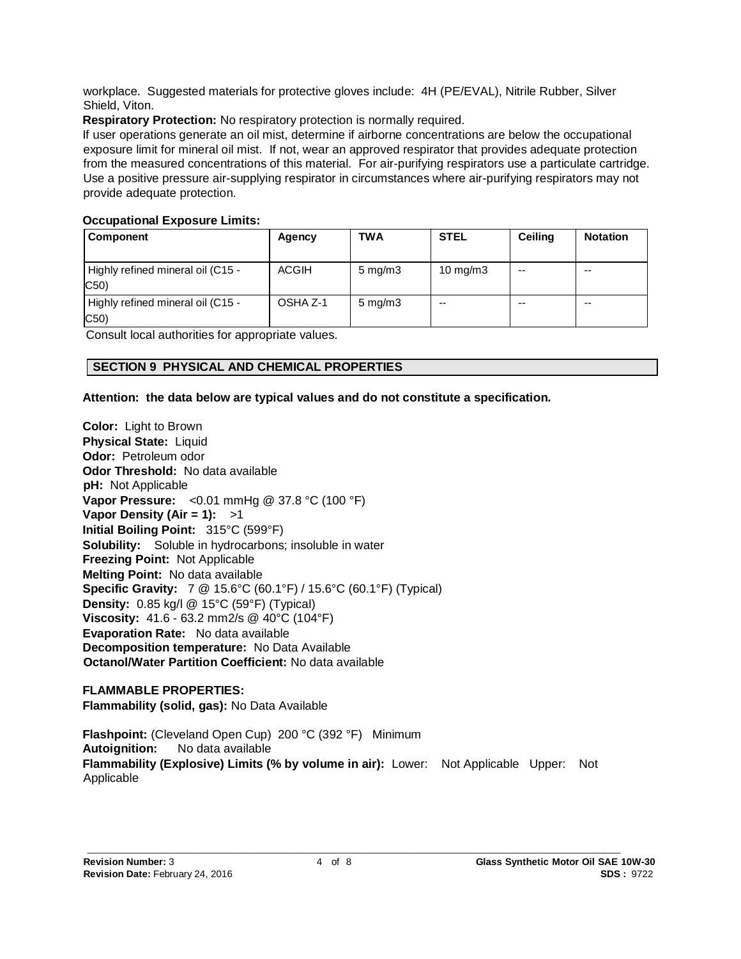workplace. Suggested materials for protective gloves include: 4H (PE/EVAL), Nitrile Rubber, Silver Shield, Viton.

**Respiratory Protection:** No respiratory protection is normally required.

If user operations generate an oil mist, determine if airborne concentrations are below the occupational exposure limit for mineral oil mist. If not, wear an approved respirator that provides adequate protection from the measured concentrations of this material. For air-purifying respirators use a particulate cartridge. Use a positive pressure air-supplying respirator in circumstances where air-purifying respirators may not provide adequate protection.

# **Occupational Exposure Limits:**

| Component                                | Agency       | TWA                | <b>STEL</b>       | <b>Ceiling</b> | <b>Notation</b> |
|------------------------------------------|--------------|--------------------|-------------------|----------------|-----------------|
| Highly refined mineral oil (C15 -<br>C50 | <b>ACGIH</b> | $5 \text{ mg/m}$ 3 | $10 \text{ mg/m}$ | $- -$          | $-$             |
| Highly refined mineral oil (C15 -<br>C50 | OSHA Z-1     | $5 \text{ mg/m}$ 3 | $-$               | $- -$          | $-$             |

Consult local authorities for appropriate values.

# **SECTION 9 PHYSICAL AND CHEMICAL PROPERTIES**

# **Attention: the data below are typical values and do not constitute a specification.**

**Color:** Light to Brown **Physical State: Liquid Odor:** Petroleum odor **Odor Threshold:** No data available **pH:** Not Applicable **Vapor Pressure:** <0.01 mmHg @ 37.8 °C (100 °F) **Vapor Density (Air = 1):** >1 **Initial Boiling Point:** 315°C (599°F) **Solubility:** Soluble in hydrocarbons; insoluble in water **Freezing Point:** Not Applicable **Melting Point:** No data available **Specific Gravity:** 7 @ 15.6°C (60.1°F) / 15.6°C (60.1°F) (Typical) **Density:** 0.85 kg/l @ 15°C (59°F) (Typical) **Viscosity:** 41.6 - 63.2 mm2/s @ 40°C (104°F) **Evaporation Rate:** No data available **Decomposition temperature:** No Data Available **Octanol/Water Partition Coefficient:** No data available

# **FLAMMABLE PROPERTIES:**

**Flammability (solid, gas):** No Data Available

**Flashpoint:** (Cleveland Open Cup) 200 °C (392 °F) Minimum **Autoignition:** No data available **Flammability (Explosive) Limits (% by volume in air):** Lower: Not Applicable Upper: Not Applicable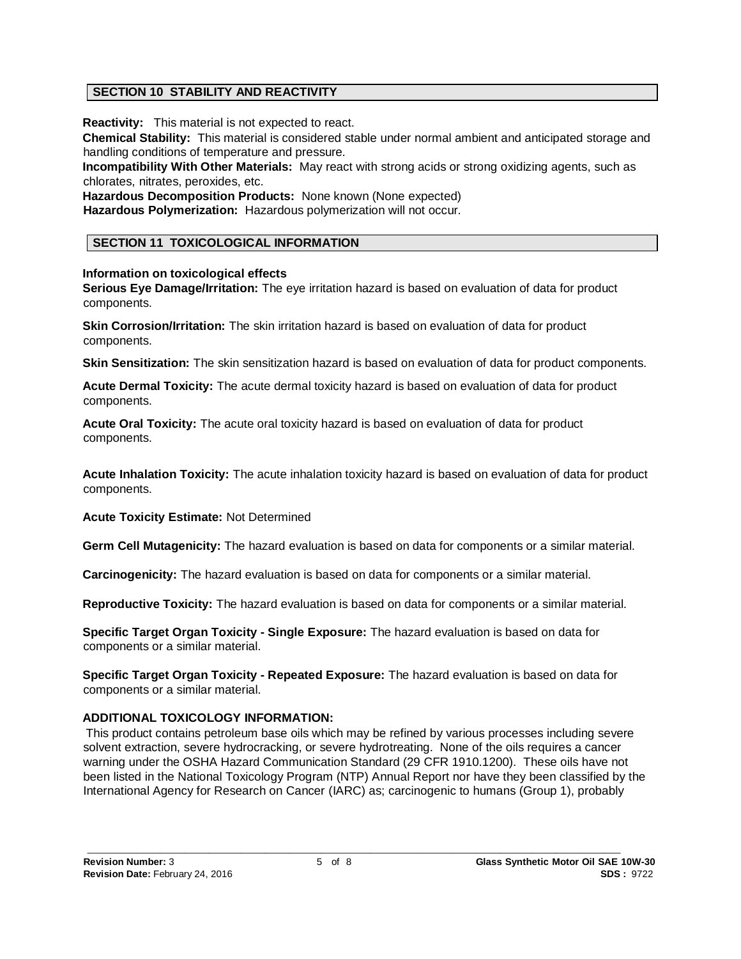# **SECTION 10 STABILITY AND REACTIVITY**

**Reactivity:** This material is not expected to react.

**Chemical Stability:** This material is considered stable under normal ambient and anticipated storage and handling conditions of temperature and pressure.

**Incompatibility With Other Materials:** May react with strong acids or strong oxidizing agents, such as chlorates, nitrates, peroxides, etc.

**Hazardous Decomposition Products:** None known (None expected) **Hazardous Polymerization:** Hazardous polymerization will not occur.

# **SECTION 11 TOXICOLOGICAL INFORMATION**

**Information on toxicological effects**

**Serious Eye Damage/Irritation:** The eye irritation hazard is based on evaluation of data for product components.

**Skin Corrosion/Irritation:** The skin irritation hazard is based on evaluation of data for product components.

**Skin Sensitization:** The skin sensitization hazard is based on evaluation of data for product components.

**Acute Dermal Toxicity:** The acute dermal toxicity hazard is based on evaluation of data for product components.

**Acute Oral Toxicity:** The acute oral toxicity hazard is based on evaluation of data for product components.

**Acute Inhalation Toxicity:** The acute inhalation toxicity hazard is based on evaluation of data for product components.

**Acute Toxicity Estimate:** Not Determined

**Germ Cell Mutagenicity:** The hazard evaluation is based on data for components or a similar material.

**Carcinogenicity:** The hazard evaluation is based on data for components or a similar material.

**Reproductive Toxicity:** The hazard evaluation is based on data for components or a similar material.

**Specific Target Organ Toxicity - Single Exposure:** The hazard evaluation is based on data for components or a similar material.

**Specific Target Organ Toxicity - Repeated Exposure:** The hazard evaluation is based on data for components or a similar material.

# **ADDITIONAL TOXICOLOGY INFORMATION:**

This product contains petroleum base oils which may be refined by various processes including severe solvent extraction, severe hydrocracking, or severe hydrotreating. None of the oils requires a cancer warning under the OSHA Hazard Communication Standard (29 CFR 1910.1200). These oils have not been listed in the National Toxicology Program (NTP) Annual Report nor have they been classified by the International Agency for Research on Cancer (IARC) as; carcinogenic to humans (Group 1), probably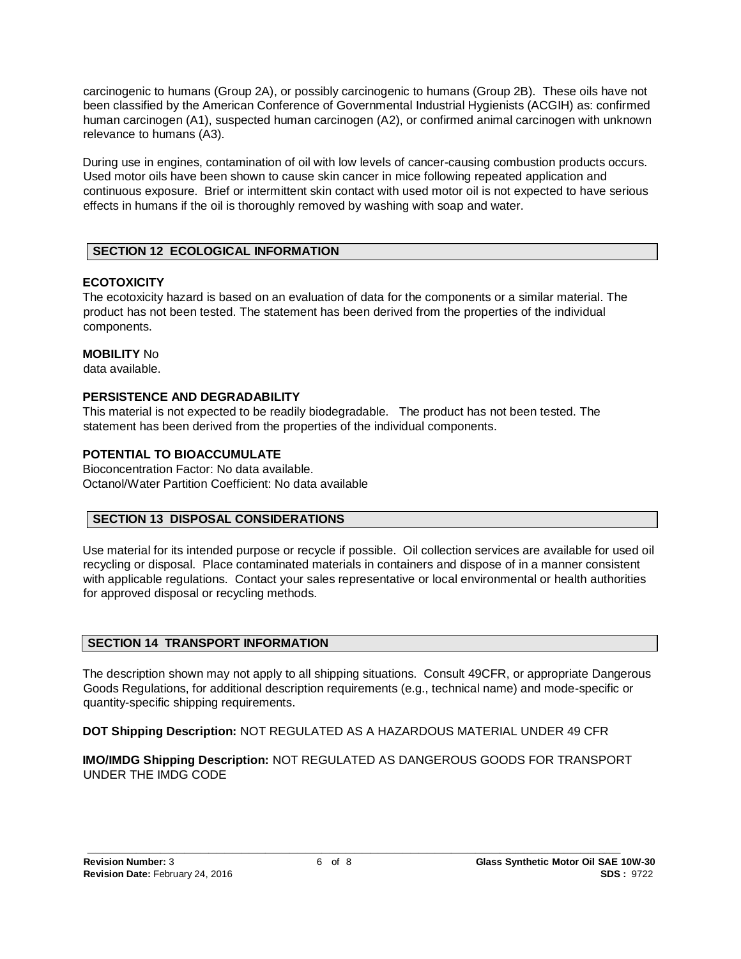carcinogenic to humans (Group 2A), or possibly carcinogenic to humans (Group 2B). These oils have not been classified by the American Conference of Governmental Industrial Hygienists (ACGIH) as: confirmed human carcinogen (A1), suspected human carcinogen (A2), or confirmed animal carcinogen with unknown relevance to humans (A3).

During use in engines, contamination of oil with low levels of cancer-causing combustion products occurs. Used motor oils have been shown to cause skin cancer in mice following repeated application and continuous exposure. Brief or intermittent skin contact with used motor oil is not expected to have serious effects in humans if the oil is thoroughly removed by washing with soap and water.

# **SECTION 12 ECOLOGICAL INFORMATION**

# **ECOTOXICITY**

The ecotoxicity hazard is based on an evaluation of data for the components or a similar material. The product has not been tested. The statement has been derived from the properties of the individual components.

# **MOBILITY** No

data available.

# **PERSISTENCE AND DEGRADABILITY**

This material is not expected to be readily biodegradable. The product has not been tested. The statement has been derived from the properties of the individual components.

# **POTENTIAL TO BIOACCUMULATE**

Bioconcentration Factor: No data available. Octanol/Water Partition Coefficient: No data available

# **SECTION 13 DISPOSAL CONSIDERATIONS**

Use material for its intended purpose or recycle if possible. Oil collection services are available for used oil recycling or disposal. Place contaminated materials in containers and dispose of in a manner consistent with applicable regulations. Contact your sales representative or local environmental or health authorities for approved disposal or recycling methods.

# **SECTION 14 TRANSPORT INFORMATION**

The description shown may not apply to all shipping situations. Consult 49CFR, or appropriate Dangerous Goods Regulations, for additional description requirements (e.g., technical name) and mode-specific or quantity-specific shipping requirements.

**DOT Shipping Description:** NOT REGULATED AS A HAZARDOUS MATERIAL UNDER 49 CFR

**IMO/IMDG Shipping Description:** NOT REGULATED AS DANGEROUS GOODS FOR TRANSPORT UNDER THE IMDG CODE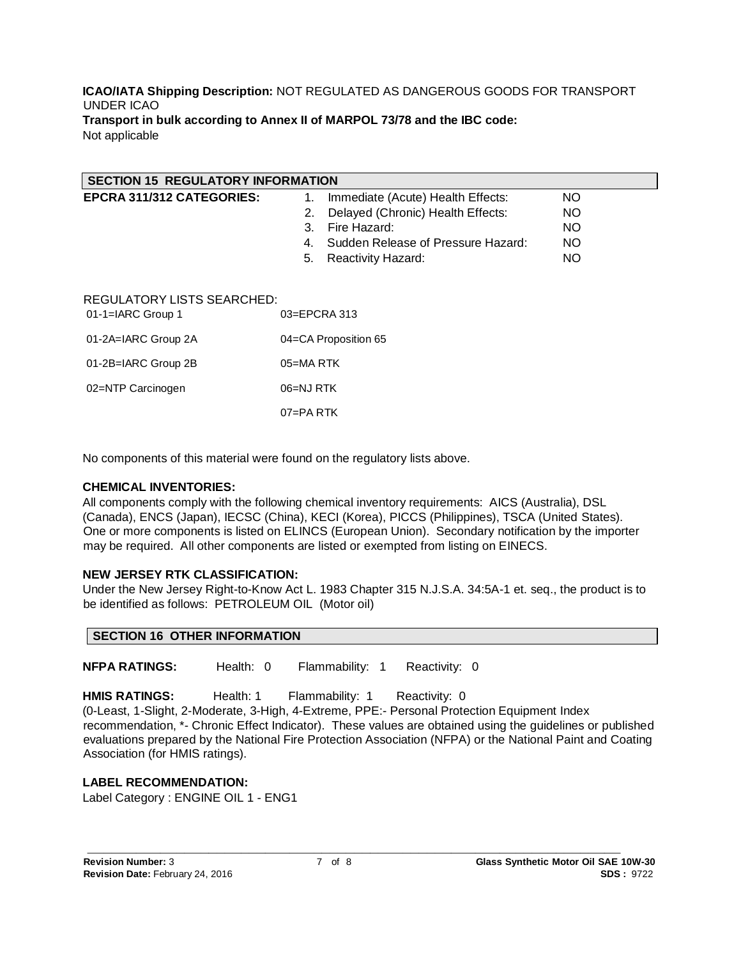#### **ICAO/IATA Shipping Description:** NOT REGULATED AS DANGEROUS GOODS FOR TRANSPORT UNDER ICAO **Transport in bulk according to Annex II of MARPOL 73/78 and the IBC code:** Not applicable

| <b>SECTION 15 REGULATORY INFORMATION</b>          |                                                      |           |  |  |
|---------------------------------------------------|------------------------------------------------------|-----------|--|--|
| EPCRA 311/312 CATEGORIES:                         | Immediate (Acute) Health Effects:<br>1.              | <b>NO</b> |  |  |
|                                                   | Delayed (Chronic) Health Effects:<br>2.              | NO.       |  |  |
|                                                   | Fire Hazard:<br>3.                                   | NO.       |  |  |
|                                                   | Sudden Release of Pressure Hazard:<br>$\mathbf{4}$ . | NO.       |  |  |
|                                                   | Reactivity Hazard:<br>5.                             | <b>NO</b> |  |  |
| REGULATORY LISTS SEARCHED:<br>$01-1=IARC$ Group 1 | $03 = EPCRA$ 313                                     |           |  |  |
| 01-2A=IARC Group 2A                               | 04=CA Proposition 65                                 |           |  |  |
| 01-2B=IARC Group 2B                               | $05 = MA$ RTK                                        |           |  |  |
| 02=NTP Carcinogen                                 | 06=NJ RTK                                            |           |  |  |

No components of this material were found on the regulatory lists above.

07=PA RTK

# **CHEMICAL INVENTORIES:**

All components comply with the following chemical inventory requirements: AICS (Australia), DSL (Canada), ENCS (Japan), IECSC (China), KECI (Korea), PICCS (Philippines), TSCA (United States). One or more components is listed on ELINCS (European Union). Secondary notification by the importer may be required. All other components are listed or exempted from listing on EINECS.

# **NEW JERSEY RTK CLASSIFICATION:**

Under the New Jersey Right-to-Know Act L. 1983 Chapter 315 N.J.S.A. 34:5A-1 et. seq., the product is to be identified as follows: PETROLEUM OIL (Motor oil)

| <b>SECTION 16 OTHER INFORMATION</b> |  |
|-------------------------------------|--|
|-------------------------------------|--|

**NFPA RATINGS:** Health: 0 Flammability: 1 Reactivity: 0

**HMIS RATINGS:** Health: 1 Flammability: 1 Reactivity: 0

(0-Least, 1-Slight, 2-Moderate, 3-High, 4-Extreme, PPE:- Personal Protection Equipment Index recommendation, \*- Chronic Effect Indicator). These values are obtained using the guidelines or published evaluations prepared by the National Fire Protection Association (NFPA) or the National Paint and Coating Association (for HMIS ratings).

**LABEL RECOMMENDATION:** Label Category : ENGINE OIL 1 - ENG1